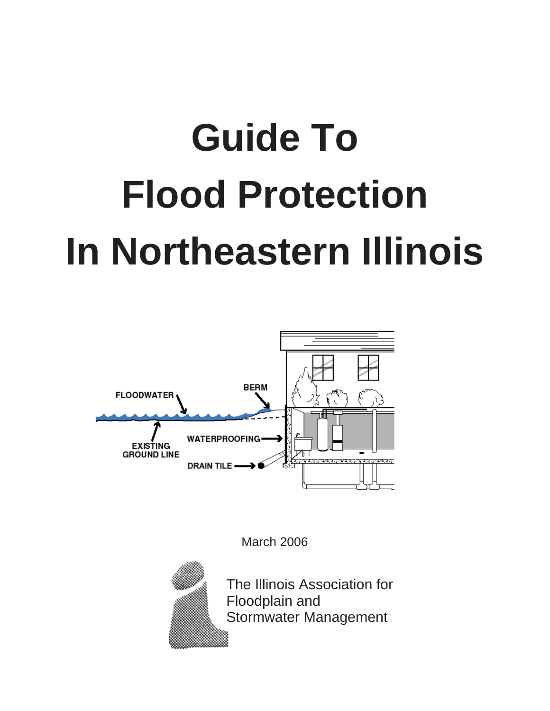# **Guide To Flood Protection In Northeastern Illinois**



March 2006



The Illinois Association for Floodplain and Stormwater Management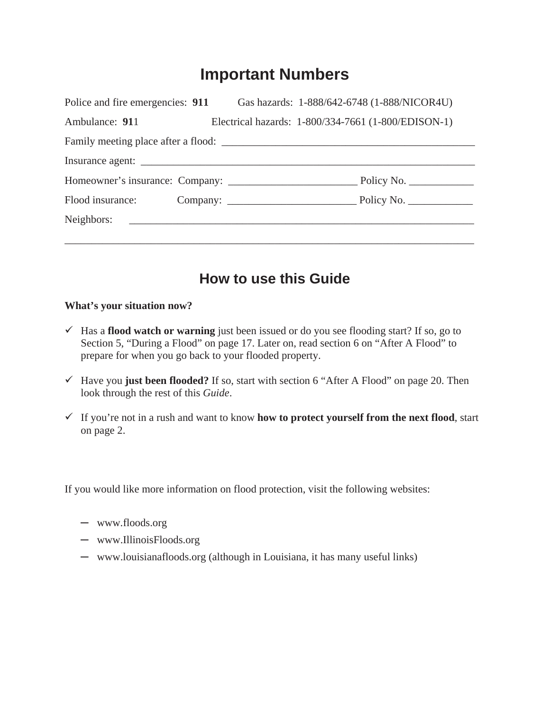# **Important Numbers**

| Police and fire emergencies: 911 Gas hazards: 1-888/642-6748 (1-888/NICOR4U)                                   |  |                                                     |
|----------------------------------------------------------------------------------------------------------------|--|-----------------------------------------------------|
| Ambulance: 911                                                                                                 |  | Electrical hazards: 1-800/334-7661 (1-800/EDISON-1) |
|                                                                                                                |  |                                                     |
|                                                                                                                |  |                                                     |
|                                                                                                                |  |                                                     |
| Flood insurance: Company: Company: No. 2006. Electric Policy No.                                               |  |                                                     |
| Neighbors: 2008. 2008. 2010. 2010. 2010. 2010. 2010. 2010. 2010. 2010. 2010. 2010. 2010. 2010. 2010. 2010. 201 |  |                                                     |
|                                                                                                                |  |                                                     |

# **How to use this Guide**

#### **What's your situation now?**

- $\checkmark$  Has a **flood watch or warning** just been issued or do you see flooding start? If so, go to Section 5, "During a Flood" on page 17. Later on, read section 6 on "After A Flood" to prepare for when you go back to your flooded property.
- $\checkmark$  Have you **just been flooded?** If so, start with section 6 "After A Flood" on page 20. Then look through the rest of this *Guide*.
- $\checkmark$  If you're not in a rush and want to know **how to protect yourself from the next flood**, start on page 2.

If you would like more information on flood protection, visit the following websites:

- $-$  www.floods.org
- $-$  www.IllinoisFloods.org
- www.louisianafloods.org (although in Louisiana, it has many useful links)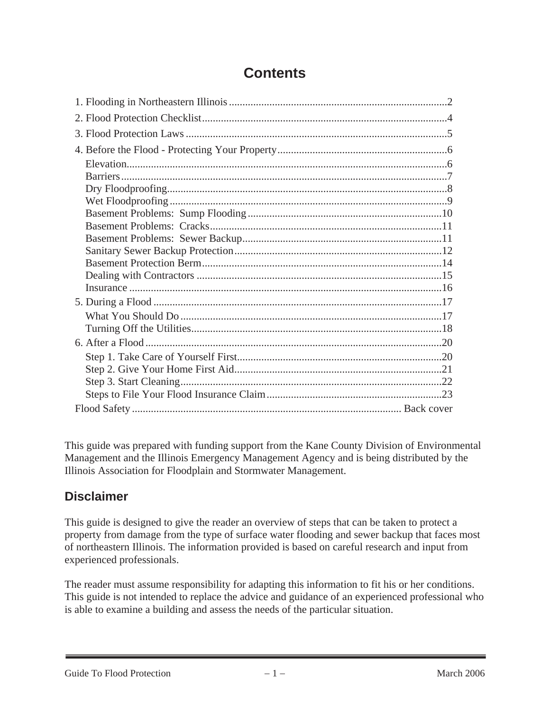# **Contents**

This guide was prepared with funding support from the Kane County Division of Environmental Management and the Illinois Emergency Management Agency and is being distributed by the Illinois Association for Floodplain and Stormwater Management.

## **Disclaimer**

This guide is designed to give the reader an overview of steps that can be taken to protect a property from damage from the type of surface water flooding and sewer backup that faces most of northeastern Illinois. The information provided is based on careful research and input from experienced professionals.

The reader must assume responsibility for adapting this information to fit his or her conditions. This guide is not intended to replace the advice and guidance of an experienced professional who is able to examine a building and assess the needs of the particular situation.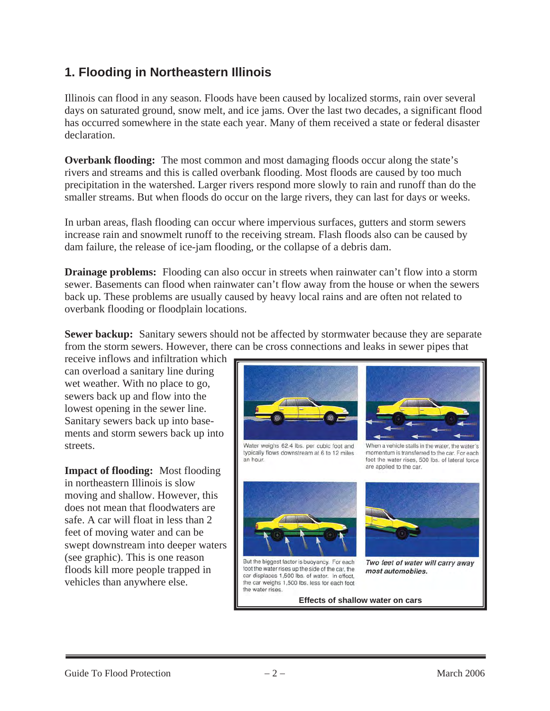## **1. Flooding in Northeastern Illinois**

Illinois can flood in any season. Floods have been caused by localized storms, rain over several days on saturated ground, snow melt, and ice jams. Over the last two decades, a significant flood has occurred somewhere in the state each year. Many of them received a state or federal disaster declaration.

**Overbank flooding:** The most common and most damaging floods occur along the state's rivers and streams and this is called overbank flooding. Most floods are caused by too much precipitation in the watershed. Larger rivers respond more slowly to rain and runoff than do the smaller streams. But when floods do occur on the large rivers, they can last for days or weeks.

In urban areas, flash flooding can occur where impervious surfaces, gutters and storm sewers increase rain and snowmelt runoff to the receiving stream. Flash floods also can be caused by dam failure, the release of ice-jam flooding, or the collapse of a debris dam.

**Drainage problems:** Flooding can also occur in streets when rainwater can't flow into a storm sewer. Basements can flood when rainwater can't flow away from the house or when the sewers back up. These problems are usually caused by heavy local rains and are often not related to overbank flooding or floodplain locations.

**Sewer backup:** Sanitary sewers should not be affected by stormwater because they are separate from the storm sewers. However, there can be cross connections and leaks in sewer pipes that

receive inflows and infiltration which can overload a sanitary line during wet weather. With no place to go, sewers back up and flow into the lowest opening in the sewer line. Sanitary sewers back up into basements and storm sewers back up into streets.

**Impact of flooding:** Most flooding in northeastern Illinois is slow moving and shallow. However, this does not mean that floodwaters are safe. A car will float in less than 2 feet of moving water and can be swept downstream into deeper waters (see graphic). This is one reason floods kill more people trapped in vehicles than anywhere else.



Water weighs 62.4 lbs. per cubic foot and typically flows downstream at 6 to 12 miles an hour.



When a vehicle stalls in the water, the water's momentum is transferred to the car. For each foot the water rises, 500 lbs. of lateral force are applied to the car.







Two feet of water will carry away most automobiles.

**Effects of shallow water on cars**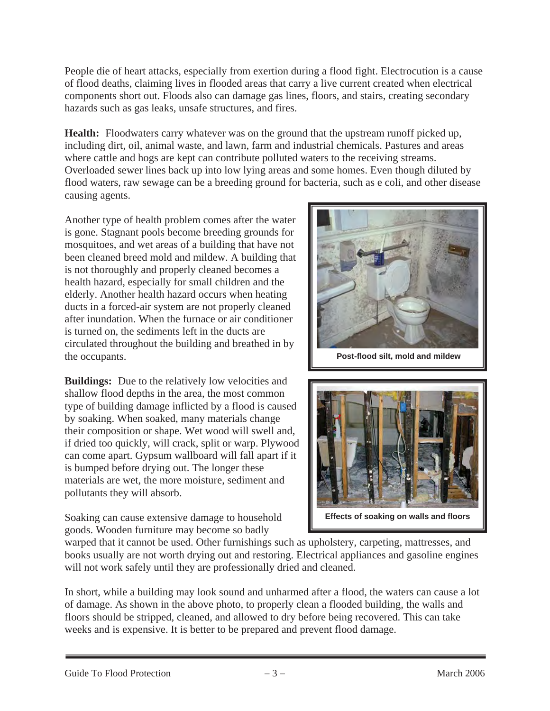People die of heart attacks, especially from exertion during a flood fight. Electrocution is a cause of flood deaths, claiming lives in flooded areas that carry a live current created when electrical components short out. Floods also can damage gas lines, floors, and stairs, creating secondary hazards such as gas leaks, unsafe structures, and fires.

**Health:** Floodwaters carry whatever was on the ground that the upstream runoff picked up, including dirt, oil, animal waste, and lawn, farm and industrial chemicals. Pastures and areas where cattle and hogs are kept can contribute polluted waters to the receiving streams. Overloaded sewer lines back up into low lying areas and some homes. Even though diluted by flood waters, raw sewage can be a breeding ground for bacteria, such as e coli, and other disease causing agents.

Another type of health problem comes after the water is gone. Stagnant pools become breeding grounds for mosquitoes, and wet areas of a building that have not been cleaned breed mold and mildew. A building that is not thoroughly and properly cleaned becomes a health hazard, especially for small children and the elderly. Another health hazard occurs when heating ducts in a forced-air system are not properly cleaned after inundation. When the furnace or air conditioner is turned on, the sediments left in the ducts are circulated throughout the building and breathed in by the occupants.

**Buildings:** Due to the relatively low velocities and shallow flood depths in the area, the most common type of building damage inflicted by a flood is caused by soaking. When soaked, many materials change their composition or shape. Wet wood will swell and, if dried too quickly, will crack, split or warp. Plywood can come apart. Gypsum wallboard will fall apart if it is bumped before drying out. The longer these materials are wet, the more moisture, sediment and pollutants they will absorb.

Soaking can cause extensive damage to household goods. Wooden furniture may become so badly



 **Post-flood silt, mold and mildew** 



**Effects of soaking on walls and floors** 

warped that it cannot be used. Other furnishings such as upholstery, carpeting, mattresses, and books usually are not worth drying out and restoring. Electrical appliances and gasoline engines will not work safely until they are professionally dried and cleaned.

In short, while a building may look sound and unharmed after a flood, the waters can cause a lot of damage. As shown in the above photo, to properly clean a flooded building, the walls and floors should be stripped, cleaned, and allowed to dry before being recovered. This can take weeks and is expensive. It is better to be prepared and prevent flood damage.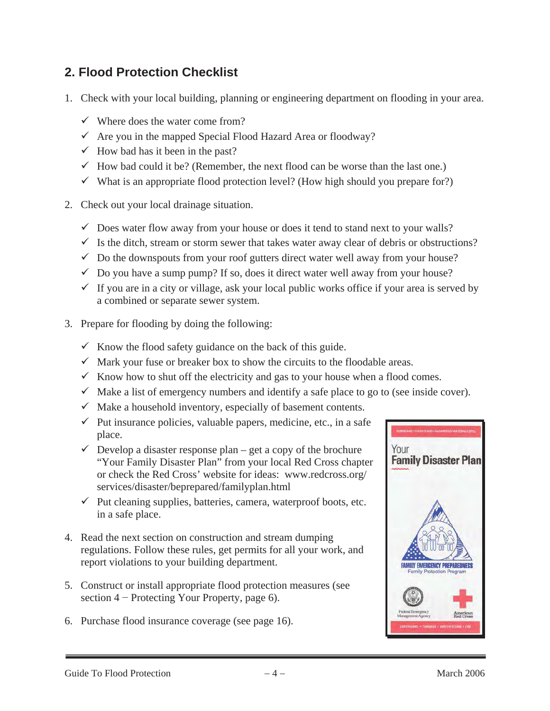## **2. Flood Protection Checklist**

- 1. Check with your local building, planning or engineering department on flooding in your area.
	- $\checkmark$  Where does the water come from?
	- $\checkmark$  Are you in the mapped Special Flood Hazard Area or floodway?
	- $\checkmark$  How bad has it been in the past?
	- $\checkmark$  How bad could it be? (Remember, the next flood can be worse than the last one.)
	- $\checkmark$  What is an appropriate flood protection level? (How high should you prepare for?)
- 2. Check out your local drainage situation.
	- $\checkmark$  Does water flow away from your house or does it tend to stand next to your walls?
	- $\checkmark$  Is the ditch, stream or storm sewer that takes water away clear of debris or obstructions?
	- $\checkmark$  Do the downspouts from your roof gutters direct water well away from your house?
	- $\checkmark$  Do you have a sump pump? If so, does it direct water well away from your house?
	- $\checkmark$  If you are in a city or village, ask your local public works office if your area is served by a combined or separate sewer system.
- 3. Prepare for flooding by doing the following:
	- $\checkmark$  Know the flood safety guidance on the back of this guide.
	- $\checkmark$  Mark your fuse or breaker box to show the circuits to the floodable areas.
	- $\checkmark$  Know how to shut off the electricity and gas to your house when a flood comes.
	- $\checkmark$  Make a list of emergency numbers and identify a safe place to go to (see inside cover).
	- $\checkmark$  Make a household inventory, especially of basement contents.
	- $\checkmark$  Put insurance policies, valuable papers, medicine, etc., in a safe place.
	- $\checkmark$  Develop a disaster response plan get a copy of the brochure "Your Family Disaster Plan" from your local Red Cross chapter or check the Red Cross' website for ideas: www.redcross.org/ services/disaster/beprepared/familyplan.html
	- $\checkmark$  Put cleaning supplies, batteries, camera, waterproof boots, etc. in a safe place.
- 4. Read the next section on construction and stream dumping regulations. Follow these rules, get permits for all your work, and report violations to your building department.
- 5. Construct or install appropriate flood protection measures (see section  $4$  – Protecting Your Property, page 6).
- 6. Purchase flood insurance coverage (see page 16).

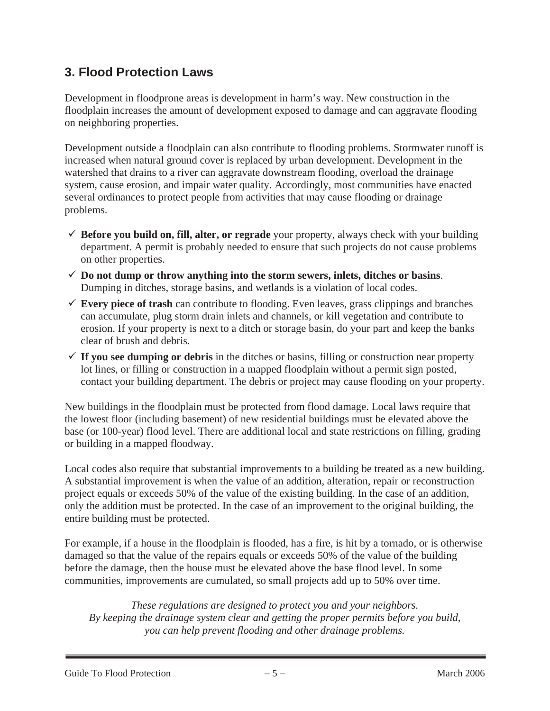## **3. Flood Protection Laws**

Development in floodprone areas is development in harm's way. New construction in the floodplain increases the amount of development exposed to damage and can aggravate flooding on neighboring properties.

Development outside a floodplain can also contribute to flooding problems. Stormwater runoff is increased when natural ground cover is replaced by urban development. Development in the watershed that drains to a river can aggravate downstream flooding, overload the drainage system, cause erosion, and impair water quality. Accordingly, most communities have enacted several ordinances to protect people from activities that may cause flooding or drainage problems.

- $\checkmark$  Before you build on, fill, alter, or regrade your property, always check with your building department. A permit is probably needed to ensure that such projects do not cause problems on other properties.
- $\checkmark$  Do not dump or throw anything into the storm sewers, inlets, ditches or basins. Dumping in ditches, storage basins, and wetlands is a violation of local codes.
- $\checkmark$  Every piece of trash can contribute to flooding. Even leaves, grass clippings and branches can accumulate, plug storm drain inlets and channels, or kill vegetation and contribute to erosion. If your property is next to a ditch or storage basin, do your part and keep the banks clear of brush and debris.
- $\checkmark$  If you see dumping or debris in the ditches or basins, filling or construction near property lot lines, or filling or construction in a mapped floodplain without a permit sign posted, contact your building department. The debris or project may cause flooding on your property.

New buildings in the floodplain must be protected from flood damage. Local laws require that the lowest floor (including basement) of new residential buildings must be elevated above the base (or 100-year) flood level. There are additional local and state restrictions on filling, grading or building in a mapped floodway.

Local codes also require that substantial improvements to a building be treated as a new building. A substantial improvement is when the value of an addition, alteration, repair or reconstruction project equals or exceeds 50% of the value of the existing building. In the case of an addition, only the addition must be protected. In the case of an improvement to the original building, the entire building must be protected.

For example, if a house in the floodplain is flooded, has a fire, is hit by a tornado, or is otherwise damaged so that the value of the repairs equals or exceeds 50% of the value of the building before the damage, then the house must be elevated above the base flood level. In some communities, improvements are cumulated, so small projects add up to 50% over time.

*These regulations are designed to protect you and your neighbors. By keeping the drainage system clear and getting the proper permits before you build, you can help prevent flooding and other drainage problems.*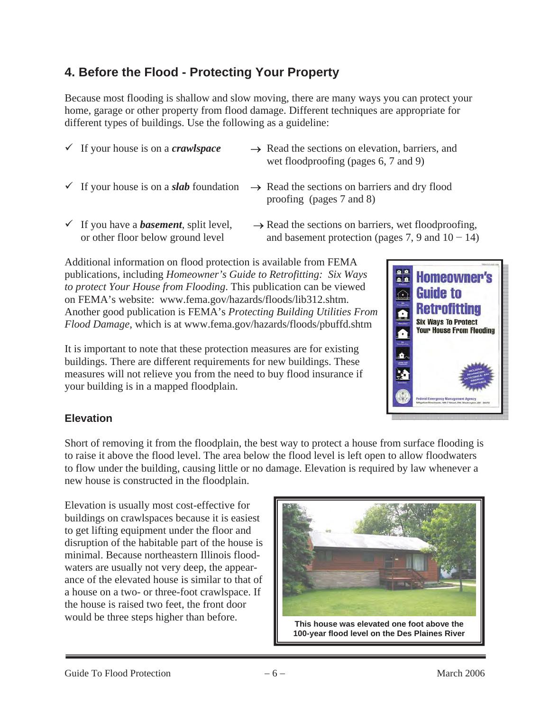# **4. Before the Flood - Protecting Your Property**

Because most flooding is shallow and slow moving, there are many ways you can protect your home, garage or other property from flood damage. Different techniques are appropriate for different types of buildings. Use the following as a guideline:

- 
- $\checkmark$  If your house is on a *crawlspace*  $\to$  Read the sections on elevation, barriers, and wet floodproofing (pages 6, 7 and 9)
	-
- $\checkmark$  If your house is on a *slab* foundation  $\to$  Read the sections on barriers and dry flood proofing (pages 7 and 8)
- 
- $\checkmark$  If you have a *basement*, split level,  $\to$  Read the sections on barriers, wet floodproofing, or other floor below ground level and basement protection (pages 7, 9 and  $10 - 14$ )

Additional information on flood protection is available from FEMA publications, including *Homeowner's Guide to Retrofitting: Six Ways to protect Your House from Flooding*. This publication can be viewed on FEMA's website: www.fema.gov/hazards/floods/lib312.shtm. Another good publication is FEMA's *Protecting Building Utilities From Flood Damage,* which is at www.fema.gov/hazards/floods/pbuffd.shtm

It is important to note that these protection measures are for existing buildings. There are different requirements for new buildings. These measures will not relieve you from the need to buy flood insurance if your building is in a mapped floodplain.



## **Elevation**

Short of removing it from the floodplain, the best way to protect a house from surface flooding is to raise it above the flood level. The area below the flood level is left open to allow floodwaters to flow under the building, causing little or no damage. Elevation is required by law whenever a new house is constructed in the floodplain.

Elevation is usually most cost-effective for buildings on crawlspaces because it is easiest to get lifting equipment under the floor and disruption of the habitable part of the house is minimal. Because northeastern Illinois floodwaters are usually not very deep, the appearance of the elevated house is similar to that of a house on a two- or three-foot crawlspace. If the house is raised two feet, the front door



**100-year flood level on the Des Plaines River**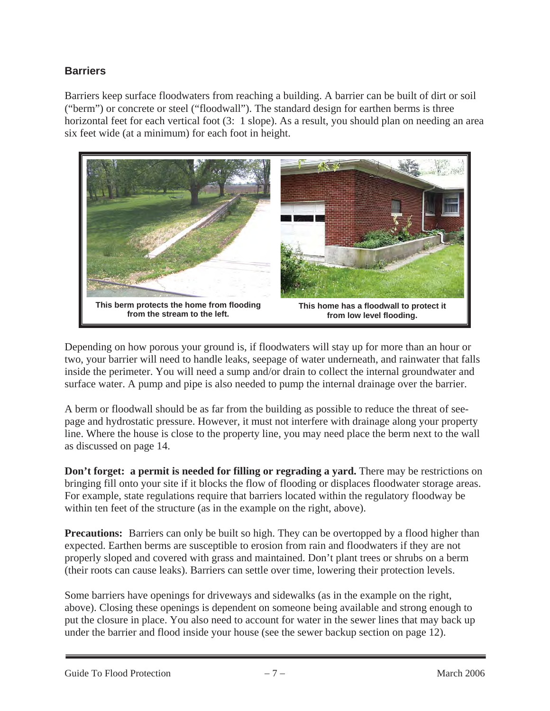### **Barriers**

Barriers keep surface floodwaters from reaching a building. A barrier can be built of dirt or soil ("berm") or concrete or steel ("floodwall"). The standard design for earthen berms is three horizontal feet for each vertical foot (3: 1 slope). As a result, you should plan on needing an area six feet wide (at a minimum) for each foot in height.



Depending on how porous your ground is, if floodwaters will stay up for more than an hour or two, your barrier will need to handle leaks, seepage of water underneath, and rainwater that falls inside the perimeter. You will need a sump and/or drain to collect the internal groundwater and surface water. A pump and pipe is also needed to pump the internal drainage over the barrier.

A berm or floodwall should be as far from the building as possible to reduce the threat of seepage and hydrostatic pressure. However, it must not interfere with drainage along your property line. Where the house is close to the property line, you may need place the berm next to the wall as discussed on page 14.

**Don't forget: a permit is needed for filling or regrading a yard.** There may be restrictions on bringing fill onto your site if it blocks the flow of flooding or displaces floodwater storage areas. For example, state regulations require that barriers located within the regulatory floodway be within ten feet of the structure (as in the example on the right, above).

**Precautions:** Barriers can only be built so high. They can be overtopped by a flood higher than expected. Earthen berms are susceptible to erosion from rain and floodwaters if they are not properly sloped and covered with grass and maintained. Don't plant trees or shrubs on a berm (their roots can cause leaks). Barriers can settle over time, lowering their protection levels.

Some barriers have openings for driveways and sidewalks (as in the example on the right, above). Closing these openings is dependent on someone being available and strong enough to put the closure in place. You also need to account for water in the sewer lines that may back up under the barrier and flood inside your house (see the sewer backup section on page 12).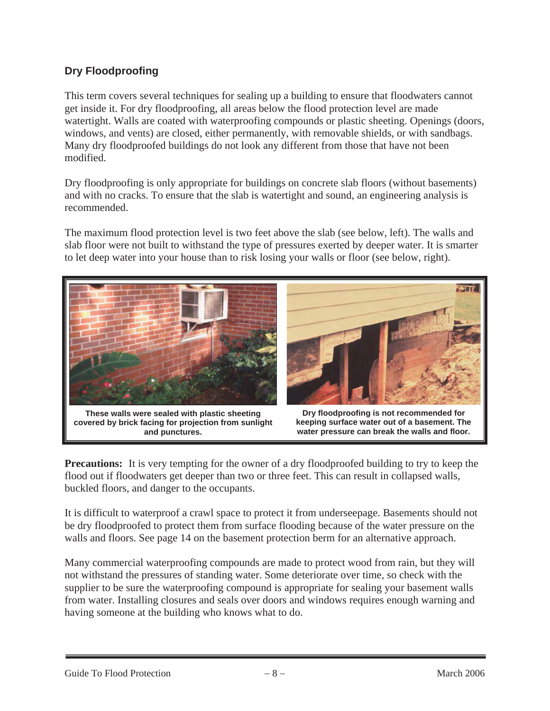## **Dry Floodproofing**

This term covers several techniques for sealing up a building to ensure that floodwaters cannot get inside it. For dry floodproofing, all areas below the flood protection level are made watertight. Walls are coated with waterproofing compounds or plastic sheeting. Openings (doors, windows, and vents) are closed, either permanently, with removable shields, or with sandbags. Many dry floodproofed buildings do not look any different from those that have not been modified.

Dry floodproofing is only appropriate for buildings on concrete slab floors (without basements) and with no cracks. To ensure that the slab is watertight and sound, an engineering analysis is recommended.

The maximum flood protection level is two feet above the slab (see below, left). The walls and slab floor were not built to withstand the type of pressures exerted by deeper water. It is smarter to let deep water into your house than to risk losing your walls or floor (see below, right).



**These walls were sealed with plastic sheeting covered by brick facing for projection from sunlight and punctures.**



**Dry floodproofing is not recommended for keeping surface water out of a basement. The water pressure can break the walls and floor.**

**Precautions:** It is very tempting for the owner of a dry floodproofed building to try to keep the flood out if floodwaters get deeper than two or three feet. This can result in collapsed walls, buckled floors, and danger to the occupants.

It is difficult to waterproof a crawl space to protect it from underseepage. Basements should not be dry floodproofed to protect them from surface flooding because of the water pressure on the walls and floors. See page 14 on the basement protection berm for an alternative approach.

Many commercial waterproofing compounds are made to protect wood from rain, but they will not withstand the pressures of standing water. Some deteriorate over time, so check with the supplier to be sure the waterproofing compound is appropriate for sealing your basement walls from water. Installing closures and seals over doors and windows requires enough warning and having someone at the building who knows what to do.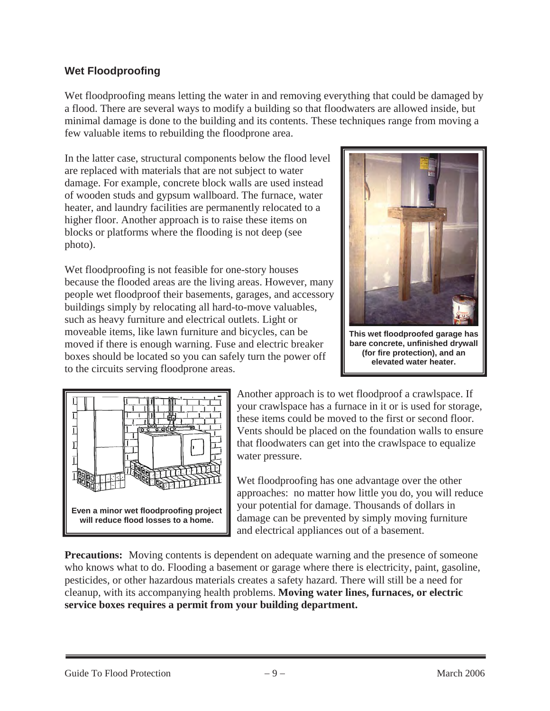### **Wet Floodproofing**

Wet floodproofing means letting the water in and removing everything that could be damaged by a flood. There are several ways to modify a building so that floodwaters are allowed inside, but minimal damage is done to the building and its contents. These techniques range from moving a few valuable items to rebuilding the floodprone area.

In the latter case, structural components below the flood level are replaced with materials that are not subject to water damage. For example, concrete block walls are used instead of wooden studs and gypsum wallboard. The furnace, water heater, and laundry facilities are permanently relocated to a higher floor. Another approach is to raise these items on blocks or platforms where the flooding is not deep (see photo).

Wet floodproofing is not feasible for one-story houses because the flooded areas are the living areas. However, many people wet floodproof their basements, garages, and accessory buildings simply by relocating all hard-to-move valuables, such as heavy furniture and electrical outlets. Light or moveable items, like lawn furniture and bicycles, can be moved if there is enough warning. Fuse and electric breaker boxes should be located so you can safely turn the power off to the circuits serving floodprone areas.



**This wet floodproofed garage has bare concrete, unfinished drywall (for fire protection), and an elevated water heater.** 



Another approach is to wet floodproof a crawlspace. If your crawlspace has a furnace in it or is used for storage, these items could be moved to the first or second floor. Vents should be placed on the foundation walls to ensure that floodwaters can get into the crawlspace to equalize water pressure.

Wet floodproofing has one advantage over the other approaches: no matter how little you do, you will reduce your potential for damage. Thousands of dollars in damage can be prevented by simply moving furniture and electrical appliances out of a basement.

**Precautions:** Moving contents is dependent on adequate warning and the presence of someone who knows what to do. Flooding a basement or garage where there is electricity, paint, gasoline, pesticides, or other hazardous materials creates a safety hazard. There will still be a need for cleanup, with its accompanying health problems. **Moving water lines, furnaces, or electric service boxes requires a permit from your building department.**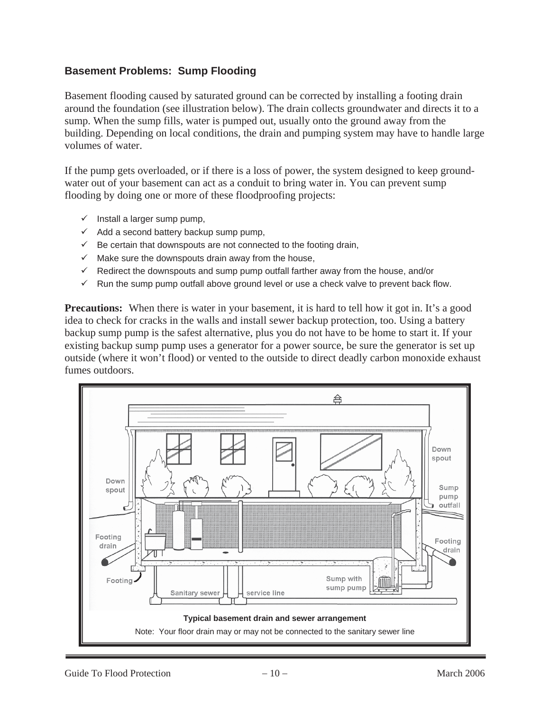#### **Basement Problems: Sump Flooding**

Basement flooding caused by saturated ground can be corrected by installing a footing drain around the foundation (see illustration below). The drain collects groundwater and directs it to a sump. When the sump fills, water is pumped out, usually onto the ground away from the building. Depending on local conditions, the drain and pumping system may have to handle large volumes of water.

If the pump gets overloaded, or if there is a loss of power, the system designed to keep groundwater out of your basement can act as a conduit to bring water in. You can prevent sump flooding by doing one or more of these floodproofing projects:

- $\checkmark$  Install a larger sump pump,
- $\checkmark$  Add a second battery backup sump pump,
- $\checkmark$  Be certain that downspouts are not connected to the footing drain,
- $\checkmark$  Make sure the downspouts drain away from the house,
- $\checkmark$  Redirect the downspouts and sump pump outfall farther away from the house, and/or
- $\checkmark$  Run the sump pump outfall above ground level or use a check valve to prevent back flow.

**Precautions:** When there is water in your basement, it is hard to tell how it got in. It's a good idea to check for cracks in the walls and install sewer backup protection, too. Using a battery backup sump pump is the safest alternative, plus you do not have to be home to start it. If your existing backup sump pump uses a generator for a power source, be sure the generator is set up outside (where it won't flood) or vented to the outside to direct deadly carbon monoxide exhaust fumes outdoors.

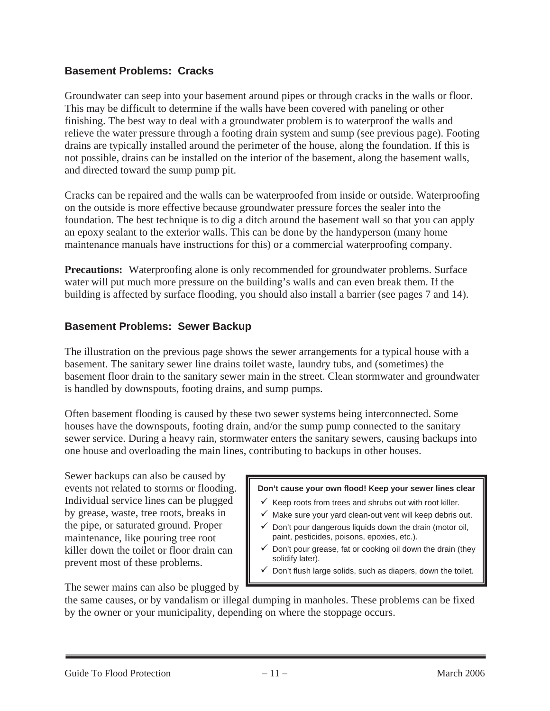#### **Basement Problems: Cracks**

Groundwater can seep into your basement around pipes or through cracks in the walls or floor. This may be difficult to determine if the walls have been covered with paneling or other finishing. The best way to deal with a groundwater problem is to waterproof the walls and relieve the water pressure through a footing drain system and sump (see previous page). Footing drains are typically installed around the perimeter of the house, along the foundation. If this is not possible, drains can be installed on the interior of the basement, along the basement walls, and directed toward the sump pump pit.

Cracks can be repaired and the walls can be waterproofed from inside or outside. Waterproofing on the outside is more effective because groundwater pressure forces the sealer into the foundation. The best technique is to dig a ditch around the basement wall so that you can apply an epoxy sealant to the exterior walls. This can be done by the handyperson (many home maintenance manuals have instructions for this) or a commercial waterproofing company.

**Precautions:** Waterproofing alone is only recommended for groundwater problems. Surface water will put much more pressure on the building's walls and can even break them. If the building is affected by surface flooding, you should also install a barrier (see pages 7 and 14).

#### **Basement Problems: Sewer Backup**

The illustration on the previous page shows the sewer arrangements for a typical house with a basement. The sanitary sewer line drains toilet waste, laundry tubs, and (sometimes) the basement floor drain to the sanitary sewer main in the street. Clean stormwater and groundwater is handled by downspouts, footing drains, and sump pumps.

Often basement flooding is caused by these two sewer systems being interconnected. Some houses have the downspouts, footing drain, and/or the sump pump connected to the sanitary sewer service. During a heavy rain, stormwater enters the sanitary sewers, causing backups into one house and overloading the main lines, contributing to backups in other houses.

Sewer backups can also be caused by events not related to storms or flooding. Individual service lines can be plugged by grease, waste, tree roots, breaks in the pipe, or saturated ground. Proper maintenance, like pouring tree root killer down the toilet or floor drain can prevent most of these problems.

#### **Don't cause your own flood! Keep your sewer lines clear**

- $\checkmark$  Keep roots from trees and shrubs out with root killer.
- $\checkmark$  Make sure your yard clean-out vent will keep debris out.
- $\checkmark$  Don't pour dangerous liquids down the drain (motor oil, paint, pesticides, poisons, epoxies, etc.).
- $\checkmark$  Don't pour grease, fat or cooking oil down the drain (they solidify later).
- $\checkmark$  Don't flush large solids, such as diapers, down the toilet.

The sewer mains can also be plugged by

the same causes, or by vandalism or illegal dumping in manholes. These problems can be fixed by the owner or your municipality, depending on where the stoppage occurs.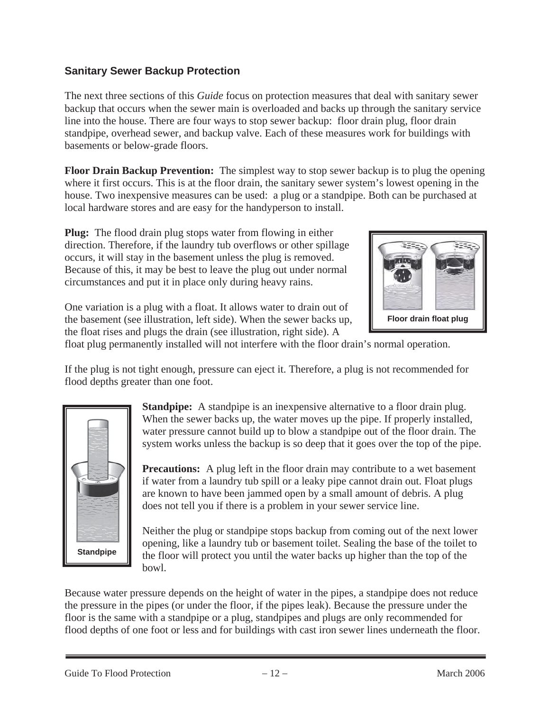#### **Sanitary Sewer Backup Protection**

The next three sections of this *Guide* focus on protection measures that deal with sanitary sewer backup that occurs when the sewer main is overloaded and backs up through the sanitary service line into the house. There are four ways to stop sewer backup: floor drain plug, floor drain standpipe, overhead sewer, and backup valve. Each of these measures work for buildings with basements or below-grade floors.

**Floor Drain Backup Prevention:** The simplest way to stop sewer backup is to plug the opening where it first occurs. This is at the floor drain, the sanitary sewer system's lowest opening in the house. Two inexpensive measures can be used: a plug or a standpipe. Both can be purchased at local hardware stores and are easy for the handyperson to install.

**Plug:** The flood drain plug stops water from flowing in either direction. Therefore, if the laundry tub overflows or other spillage occurs, it will stay in the basement unless the plug is removed. Because of this, it may be best to leave the plug out under normal circumstances and put it in place only during heavy rains.



One variation is a plug with a float. It allows water to drain out of the basement (see illustration, left side). When the sewer backs up, the float rises and plugs the drain (see illustration, right side). A

float plug permanently installed will not interfere with the floor drain's normal operation.

If the plug is not tight enough, pressure can eject it. Therefore, a plug is not recommended for flood depths greater than one foot.



**Standpipe:** A standpipe is an inexpensive alternative to a floor drain plug. When the sewer backs up, the water moves up the pipe. If properly installed, water pressure cannot build up to blow a standpipe out of the floor drain. The system works unless the backup is so deep that it goes over the top of the pipe.

**Precautions:** A plug left in the floor drain may contribute to a wet basement if water from a laundry tub spill or a leaky pipe cannot drain out. Float plugs are known to have been jammed open by a small amount of debris. A plug does not tell you if there is a problem in your sewer service line.

Neither the plug or standpipe stops backup from coming out of the next lower opening, like a laundry tub or basement toilet. Sealing the base of the toilet to the floor will protect you until the water backs up higher than the top of the bowl.

Because water pressure depends on the height of water in the pipes, a standpipe does not reduce the pressure in the pipes (or under the floor, if the pipes leak). Because the pressure under the floor is the same with a standpipe or a plug, standpipes and plugs are only recommended for flood depths of one foot or less and for buildings with cast iron sewer lines underneath the floor.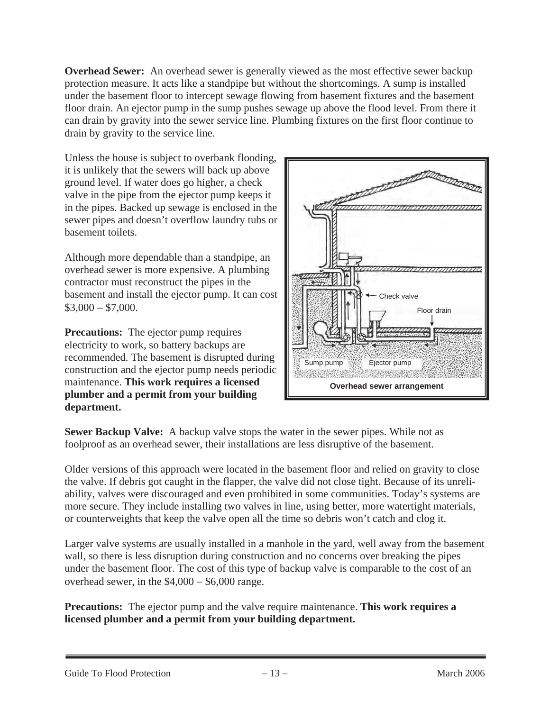**Overhead Sewer:** An overhead sewer is generally viewed as the most effective sewer backup protection measure. It acts like a standpipe but without the shortcomings. A sump is installed under the basement floor to intercept sewage flowing from basement fixtures and the basement floor drain. An ejector pump in the sump pushes sewage up above the flood level. From there it can drain by gravity into the sewer service line. Plumbing fixtures on the first floor continue to drain by gravity to the service line.

Unless the house is subject to overbank flooding, it is unlikely that the sewers will back up above ground level. If water does go higher, a check valve in the pipe from the ejector pump keeps it in the pipes. Backed up sewage is enclosed in the sewer pipes and doesn't overflow laundry tubs or basement toilets.

Although more dependable than a standpipe, an overhead sewer is more expensive. A plumbing contractor must reconstruct the pipes in the basement and install the ejector pump. It can cost  $$3,000 - $7,000.$ 

**Precautions:** The ejector pump requires electricity to work, so battery backups are recommended. The basement is disrupted during construction and the ejector pump needs periodic maintenance. **This work requires a licensed plumber and a permit from your building department.**



**Sewer Backup Valve:** A backup valve stops the water in the sewer pipes. While not as foolproof as an overhead sewer, their installations are less disruptive of the basement.

Older versions of this approach were located in the basement floor and relied on gravity to close the valve. If debris got caught in the flapper, the valve did not close tight. Because of its unreliability, valves were discouraged and even prohibited in some communities. Today's systems are more secure. They include installing two valves in line, using better, more watertight materials, or counterweights that keep the valve open all the time so debris won't catch and clog it.

Larger valve systems are usually installed in a manhole in the yard, well away from the basement wall, so there is less disruption during construction and no concerns over breaking the pipes under the basement floor. The cost of this type of backup valve is comparable to the cost of an overhead sewer, in the  $$4,000 - $6,000$  range.

**Precautions:** The ejector pump and the valve require maintenance. **This work requires a licensed plumber and a permit from your building department.**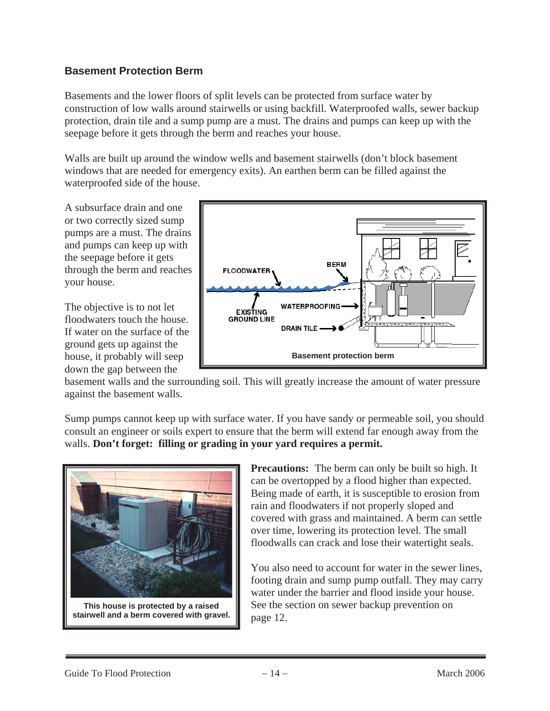#### **Basement Protection Berm**

Basements and the lower floors of split levels can be protected from surface water by construction of low walls around stairwells or using backfill. Waterproofed walls, sewer backup protection, drain tile and a sump pump are a must. The drains and pumps can keep up with the seepage before it gets through the berm and reaches your house.

Walls are built up around the window wells and basement stairwells (don't block basement windows that are needed for emergency exits). An earthen berm can be filled against the waterproofed side of the house.

A subsurface drain and one or two correctly sized sump pumps are a must. The drains and pumps can keep up with the seepage before it gets through the berm and reaches your house.

The objective is to not let floodwaters touch the house. If water on the surface of the ground gets up against the house, it probably will seep down the gap between the



basement walls and the surrounding soil. This will greatly increase the amount of water pressure against the basement walls.

Sump pumps cannot keep up with surface water. If you have sandy or permeable soil, you should consult an engineer or soils expert to ensure that the berm will extend far enough away from the walls. **Don't forget: filling or grading in your yard requires a permit.**



**Precautions:** The berm can only be built so high. It can be overtopped by a flood higher than expected. Being made of earth, it is susceptible to erosion from rain and floodwaters if not properly sloped and covered with grass and maintained. A berm can settle over time, lowering its protection level. The small floodwalls can crack and lose their watertight seals.

You also need to account for water in the sewer lines, footing drain and sump pump outfall. They may carry water under the barrier and flood inside your house. See the section on sewer backup prevention on page 12.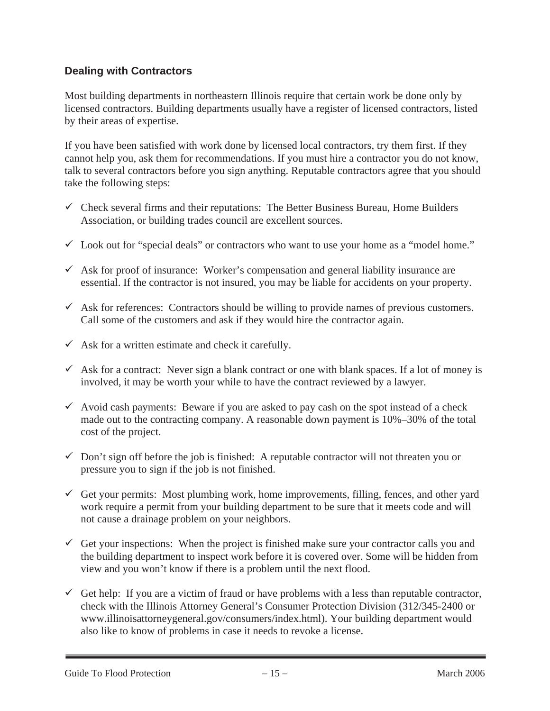#### **Dealing with Contractors**

Most building departments in northeastern Illinois require that certain work be done only by licensed contractors. Building departments usually have a register of licensed contractors, listed by their areas of expertise.

If you have been satisfied with work done by licensed local contractors, try them first. If they cannot help you, ask them for recommendations. If you must hire a contractor you do not know, talk to several contractors before you sign anything. Reputable contractors agree that you should take the following steps:

- $\checkmark$  Check several firms and their reputations: The Better Business Bureau, Home Builders Association, or building trades council are excellent sources.
- $\checkmark$  Look out for "special deals" or contractors who want to use your home as a "model home."
- $\checkmark$  Ask for proof of insurance: Worker's compensation and general liability insurance are essential. If the contractor is not insured, you may be liable for accidents on your property.
- $\checkmark$  Ask for references: Contractors should be willing to provide names of previous customers. Call some of the customers and ask if they would hire the contractor again.
- $\checkmark$  Ask for a written estimate and check it carefully.
- $\checkmark$  Ask for a contract: Never sign a blank contract or one with blank spaces. If a lot of money is involved, it may be worth your while to have the contract reviewed by a lawyer.
- $\checkmark$  Avoid cash payments: Beware if you are asked to pay cash on the spot instead of a check made out to the contracting company. A reasonable down payment is 10%–30% of the total cost of the project.
- $\checkmark$  Don't sign off before the job is finished: A reputable contractor will not threaten you or pressure you to sign if the job is not finished.
- $\checkmark$  Get your permits: Most plumbing work, home improvements, filling, fences, and other yard work require a permit from your building department to be sure that it meets code and will not cause a drainage problem on your neighbors.
- $\checkmark$  Get your inspections: When the project is finished make sure your contractor calls you and the building department to inspect work before it is covered over. Some will be hidden from view and you won't know if there is a problem until the next flood.
- $\checkmark$  Get help: If you are a victim of fraud or have problems with a less than reputable contractor, check with the Illinois Attorney General's Consumer Protection Division (312/345-2400 or www.illinoisattorneygeneral.gov/consumers/index.html). Your building department would also like to know of problems in case it needs to revoke a license.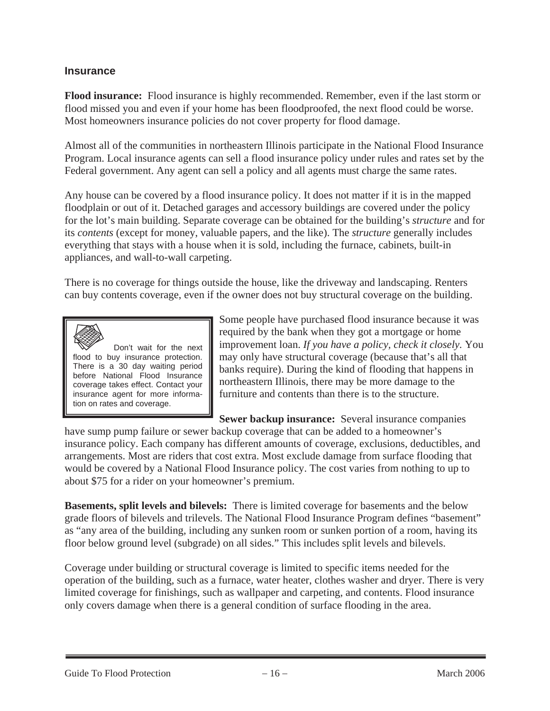#### **Insurance**

**Flood insurance:** Flood insurance is highly recommended. Remember, even if the last storm or flood missed you and even if your home has been floodproofed, the next flood could be worse. Most homeowners insurance policies do not cover property for flood damage.

Almost all of the communities in northeastern Illinois participate in the National Flood Insurance Program. Local insurance agents can sell a flood insurance policy under rules and rates set by the Federal government. Any agent can sell a policy and all agents must charge the same rates.

Any house can be covered by a flood insurance policy. It does not matter if it is in the mapped floodplain or out of it. Detached garages and accessory buildings are covered under the policy for the lot's main building. Separate coverage can be obtained for the building's *structure* and for its *contents* (except for money, valuable papers, and the like). The *structure* generally includes everything that stays with a house when it is sold, including the furnace, cabinets, built-in appliances, and wall-to-wall carpeting.

There is no coverage for things outside the house, like the driveway and landscaping. Renters can buy contents coverage, even if the owner does not buy structural coverage on the building.



 Don't wait for the next flood to buy insurance protection. There is a 30 day waiting period before National Flood Insurance coverage takes effect. Contact your insurance agent for more information on rates and coverage.

Some people have purchased flood insurance because it was required by the bank when they got a mortgage or home improvement loan. *If you have a policy, check it closely.* You may only have structural coverage (because that's all that banks require). During the kind of flooding that happens in northeastern Illinois, there may be more damage to the furniture and contents than there is to the structure.

**Sewer backup insurance:** Several insurance companies

have sump pump failure or sewer backup coverage that can be added to a homeowner's insurance policy. Each company has different amounts of coverage, exclusions, deductibles, and arrangements. Most are riders that cost extra. Most exclude damage from surface flooding that would be covered by a National Flood Insurance policy. The cost varies from nothing to up to about \$75 for a rider on your homeowner's premium.

**Basements, split levels and bilevels:** There is limited coverage for basements and the below grade floors of bilevels and trilevels. The National Flood Insurance Program defines "basement" as "any area of the building, including any sunken room or sunken portion of a room, having its floor below ground level (subgrade) on all sides." This includes split levels and bilevels.

Coverage under building or structural coverage is limited to specific items needed for the operation of the building, such as a furnace, water heater, clothes washer and dryer. There is very limited coverage for finishings, such as wallpaper and carpeting, and contents. Flood insurance only covers damage when there is a general condition of surface flooding in the area.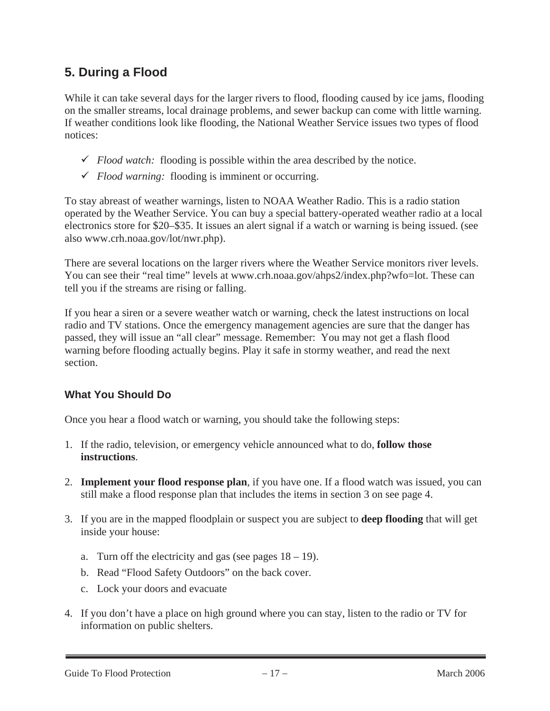## **5. During a Flood**

While it can take several days for the larger rivers to flood, flooding caused by ice jams, flooding on the smaller streams, local drainage problems, and sewer backup can come with little warning. If weather conditions look like flooding, the National Weather Service issues two types of flood notices:

- $\checkmark$  *Flood watch:* flooding is possible within the area described by the notice.
- 9 *Flood warning:* flooding is imminent or occurring.

To stay abreast of weather warnings, listen to NOAA Weather Radio. This is a radio station operated by the Weather Service. You can buy a special battery-operated weather radio at a local electronics store for \$20–\$35. It issues an alert signal if a watch or warning is being issued. (see also www.crh.noaa.gov/lot/nwr.php).

There are several locations on the larger rivers where the Weather Service monitors river levels. You can see their "real time" levels at www.crh.noaa.gov/ahps2/index.php?wfo=lot. These can tell you if the streams are rising or falling.

If you hear a siren or a severe weather watch or warning, check the latest instructions on local radio and TV stations. Once the emergency management agencies are sure that the danger has passed, they will issue an "all clear" message. Remember: You may not get a flash flood warning before flooding actually begins. Play it safe in stormy weather, and read the next section.

#### **What You Should Do**

Once you hear a flood watch or warning, you should take the following steps:

- 1. If the radio, television, or emergency vehicle announced what to do, **follow those instructions**.
- 2. **Implement your flood response plan**, if you have one. If a flood watch was issued, you can still make a flood response plan that includes the items in section 3 on see page 4.
- 3. If you are in the mapped floodplain or suspect you are subject to **deep flooding** that will get inside your house:
	- a. Turn off the electricity and gas (see pages  $18 19$ ).
	- b. Read "Flood Safety Outdoors" on the back cover.
	- c. Lock your doors and evacuate
- 4. If you don't have a place on high ground where you can stay, listen to the radio or TV for information on public shelters.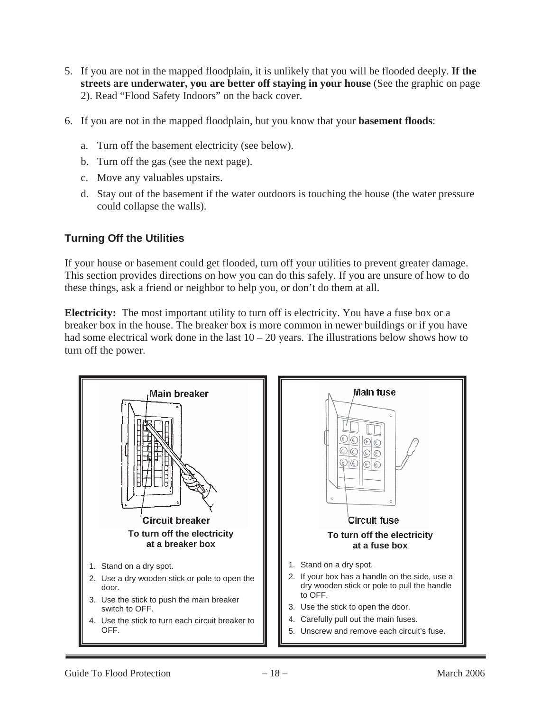- 5. If you are not in the mapped floodplain, it is unlikely that you will be flooded deeply. **If the streets are underwater, you are better off staying in your house** (See the graphic on page 2). Read "Flood Safety Indoors" on the back cover.
- 6. If you are not in the mapped floodplain, but you know that your **basement floods**:
	- a. Turn off the basement electricity (see below).
	- b. Turn off the gas (see the next page).
	- c. Move any valuables upstairs.
	- d. Stay out of the basement if the water outdoors is touching the house (the water pressure could collapse the walls).

### **Turning Off the Utilities**

If your house or basement could get flooded, turn off your utilities to prevent greater damage. This section provides directions on how you can do this safely. If you are unsure of how to do these things, ask a friend or neighbor to help you, or don't do them at all.

**Electricity:** The most important utility to turn off is electricity. You have a fuse box or a breaker box in the house. The breaker box is more common in newer buildings or if you have had some electrical work done in the last  $10 - 20$  years. The illustrations below shows how to turn off the power.

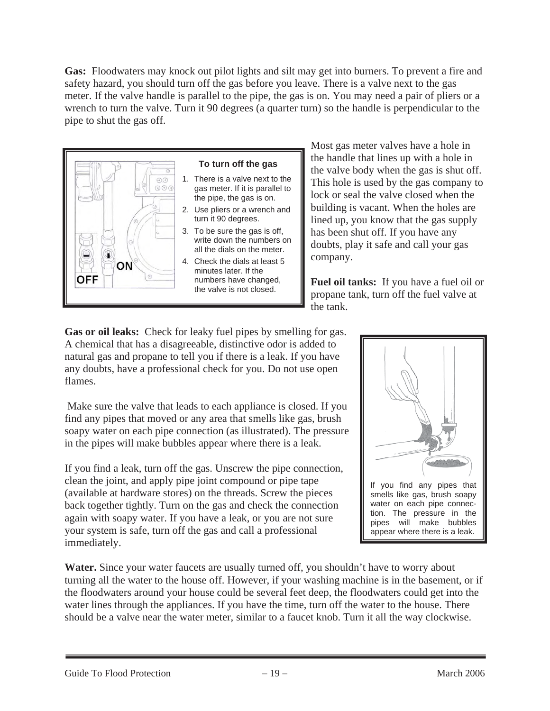**Gas:** Floodwaters may knock out pilot lights and silt may get into burners. To prevent a fire and safety hazard, you should turn off the gas before you leave. There is a valve next to the gas meter. If the valve handle is parallel to the pipe, the gas is on. You may need a pair of pliers or a wrench to turn the valve. Turn it 90 degrees (a quarter turn) so the handle is perpendicular to the pipe to shut the gas off.



#### **To turn off the gas**

- 1. There is a valve next to the gas meter. If it is parallel to the pipe, the gas is on.
- 2. Use pliers or a wrench and turn it 90 degrees.
- 3. To be sure the gas is off, write down the numbers on all the dials on the meter.
- 4. Check the dials at least 5 minutes later. If the numbers have changed, the valve is not closed.

Most gas meter valves have a hole in the handle that lines up with a hole in the valve body when the gas is shut off. This hole is used by the gas company to lock or seal the valve closed when the building is vacant. When the holes are lined up, you know that the gas supply has been shut off. If you have any doubts, play it safe and call your gas company.

**Fuel oil tanks:** If you have a fuel oil or propane tank, turn off the fuel valve at the tank.

Gas or oil leaks: Check for leaky fuel pipes by smelling for gas. A chemical that has a disagreeable, distinctive odor is added to natural gas and propane to tell you if there is a leak. If you have any doubts, have a professional check for you. Do not use open flames.

 Make sure the valve that leads to each appliance is closed. If you find any pipes that moved or any area that smells like gas, brush soapy water on each pipe connection (as illustrated). The pressure in the pipes will make bubbles appear where there is a leak.

If you find a leak, turn off the gas. Unscrew the pipe connection, clean the joint, and apply pipe joint compound or pipe tape (available at hardware stores) on the threads. Screw the pieces back together tightly. Turn on the gas and check the connection again with soapy water. If you have a leak, or you are not sure your system is safe, turn off the gas and call a professional immediately.

If you find any pipes that smells like gas, brush soapy water on each pipe connection. The pressure in the pipes will make bubbles appear where there is a leak.

Water. Since your water faucets are usually turned off, you shouldn't have to worry about turning all the water to the house off. However, if your washing machine is in the basement, or if the floodwaters around your house could be several feet deep, the floodwaters could get into the water lines through the appliances. If you have the time, turn off the water to the house. There should be a valve near the water meter, similar to a faucet knob. Turn it all the way clockwise.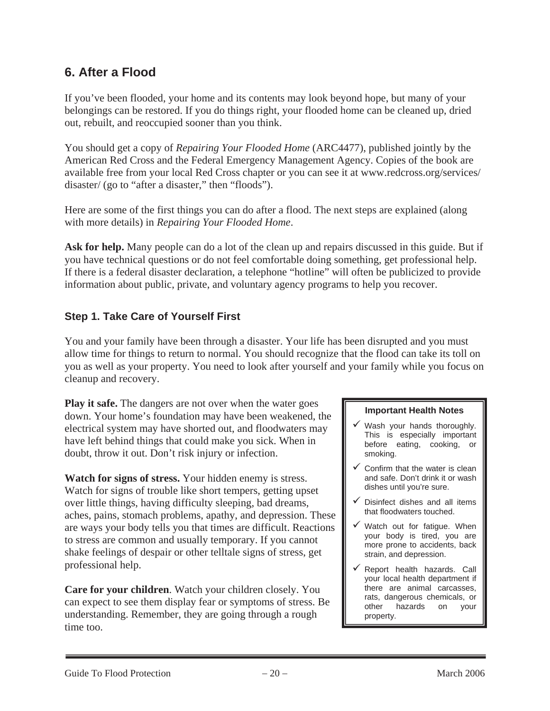## **6. After a Flood**

If you've been flooded, your home and its contents may look beyond hope, but many of your belongings can be restored. If you do things right, your flooded home can be cleaned up, dried out, rebuilt, and reoccupied sooner than you think.

You should get a copy of *Repairing Your Flooded Home* (ARC4477), published jointly by the American Red Cross and the Federal Emergency Management Agency. Copies of the book are available free from your local Red Cross chapter or you can see it at www.redcross.org/services/ disaster/ (go to "after a disaster," then "floods").

Here are some of the first things you can do after a flood. The next steps are explained (along with more details) in *Repairing Your Flooded Home*.

**Ask for help.** Many people can do a lot of the clean up and repairs discussed in this guide. But if you have technical questions or do not feel comfortable doing something, get professional help. If there is a federal disaster declaration, a telephone "hotline" will often be publicized to provide information about public, private, and voluntary agency programs to help you recover.

## **Step 1. Take Care of Yourself First**

You and your family have been through a disaster. Your life has been disrupted and you must allow time for things to return to normal. You should recognize that the flood can take its toll on you as well as your property. You need to look after yourself and your family while you focus on cleanup and recovery.

**Play it safe.** The dangers are not over when the water goes down. Your home's foundation may have been weakened, the electrical system may have shorted out, and floodwaters may have left behind things that could make you sick. When in doubt, throw it out. Don't risk injury or infection.

**Watch for signs of stress.** Your hidden enemy is stress. Watch for signs of trouble like short tempers, getting upset over little things, having difficulty sleeping, bad dreams, aches, pains, stomach problems, apathy, and depression. These are ways your body tells you that times are difficult. Reactions to stress are common and usually temporary. If you cannot shake feelings of despair or other telltale signs of stress, get professional help.

**Care for your children**. Watch your children closely. You can expect to see them display fear or symptoms of stress. Be understanding. Remember, they are going through a rough time too.

#### **Important Health Notes**

- Wash your hands thoroughly. This is especially important before eating, cooking, or smoking.
- $\checkmark$  Confirm that the water is clean and safe. Don't drink it or wash dishes until you're sure.
- $\checkmark$  Disinfect dishes and all items that floodwaters touched.
- $\checkmark$  Watch out for fatigue. When your body is tired, you are more prone to accidents, back strain, and depression.
- $\checkmark$  Report health hazards. Call your local health department if there are animal carcasses, rats, dangerous chemicals, or other hazards on your property.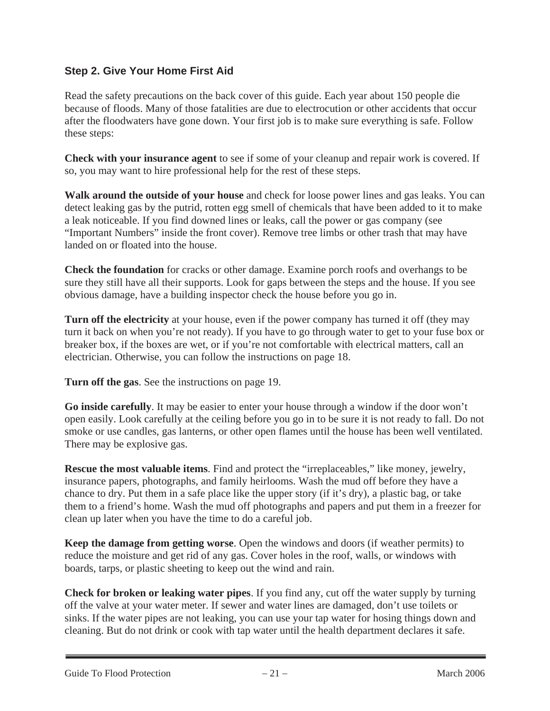### **Step 2. Give Your Home First Aid**

Read the safety precautions on the back cover of this guide. Each year about 150 people die because of floods. Many of those fatalities are due to electrocution or other accidents that occur after the floodwaters have gone down. Your first job is to make sure everything is safe. Follow these steps:

**Check with your insurance agent** to see if some of your cleanup and repair work is covered. If so, you may want to hire professional help for the rest of these steps.

**Walk around the outside of your house** and check for loose power lines and gas leaks. You can detect leaking gas by the putrid, rotten egg smell of chemicals that have been added to it to make a leak noticeable. If you find downed lines or leaks, call the power or gas company (see "Important Numbers" inside the front cover). Remove tree limbs or other trash that may have landed on or floated into the house.

**Check the foundation** for cracks or other damage. Examine porch roofs and overhangs to be sure they still have all their supports. Look for gaps between the steps and the house. If you see obvious damage, have a building inspector check the house before you go in.

**Turn off the electricity** at your house, even if the power company has turned it off (they may turn it back on when you're not ready). If you have to go through water to get to your fuse box or breaker box, if the boxes are wet, or if you're not comfortable with electrical matters, call an electrician. Otherwise, you can follow the instructions on page 18.

**Turn off the gas**. See the instructions on page 19.

**Go inside carefully**. It may be easier to enter your house through a window if the door won't open easily. Look carefully at the ceiling before you go in to be sure it is not ready to fall. Do not smoke or use candles, gas lanterns, or other open flames until the house has been well ventilated. There may be explosive gas.

**Rescue the most valuable items**. Find and protect the "irreplaceables," like money, jewelry, insurance papers, photographs, and family heirlooms. Wash the mud off before they have a chance to dry. Put them in a safe place like the upper story (if it's dry), a plastic bag, or take them to a friend's home. Wash the mud off photographs and papers and put them in a freezer for clean up later when you have the time to do a careful job.

**Keep the damage from getting worse**. Open the windows and doors (if weather permits) to reduce the moisture and get rid of any gas. Cover holes in the roof, walls, or windows with boards, tarps, or plastic sheeting to keep out the wind and rain.

**Check for broken or leaking water pipes**. If you find any, cut off the water supply by turning off the valve at your water meter. If sewer and water lines are damaged, don't use toilets or sinks. If the water pipes are not leaking, you can use your tap water for hosing things down and cleaning. But do not drink or cook with tap water until the health department declares it safe.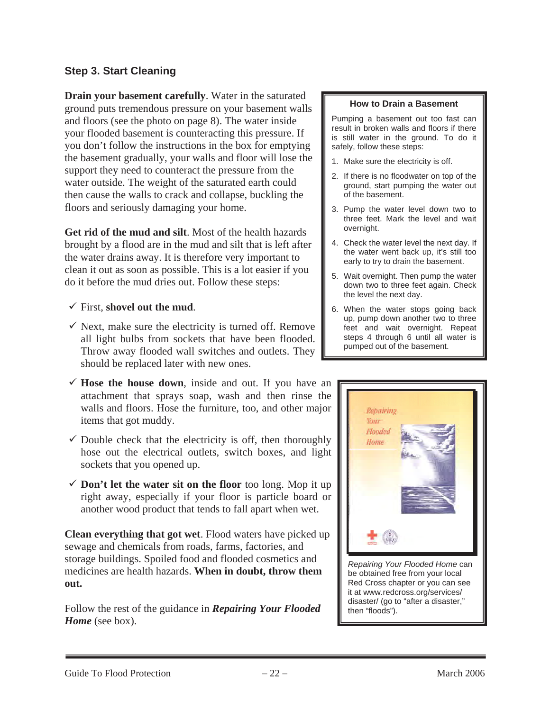#### **Step 3. Start Cleaning**

**Drain your basement carefully**. Water in the saturated ground puts tremendous pressure on your basement walls and floors (see the photo on page 8). The water inside your flooded basement is counteracting this pressure. If you don't follow the instructions in the box for emptying the basement gradually, your walls and floor will lose the support they need to counteract the pressure from the water outside. The weight of the saturated earth could then cause the walls to crack and collapse, buckling the floors and seriously damaging your home.

**Get rid of the mud and silt**. Most of the health hazards brought by a flood are in the mud and silt that is left after the water drains away. It is therefore very important to clean it out as soon as possible. This is a lot easier if you do it before the mud dries out. Follow these steps:

- $\checkmark$  First, shovel out the mud.
- $\checkmark$  Next, make sure the electricity is turned off. Remove all light bulbs from sockets that have been flooded. Throw away flooded wall switches and outlets. They should be replaced later with new ones.
- $\checkmark$  Hose the house down, inside and out. If you have an attachment that sprays soap, wash and then rinse the walls and floors. Hose the furniture, too, and other major items that got muddy.
- $\checkmark$  Double check that the electricity is off, then thoroughly hose out the electrical outlets, switch boxes, and light sockets that you opened up.
- $\checkmark$  **Don't let the water sit on the floor** too long. Mop it up right away, especially if your floor is particle board or another wood product that tends to fall apart when wet.

**Clean everything that got wet**. Flood waters have picked up sewage and chemicals from roads, farms, factories, and storage buildings. Spoiled food and flooded cosmetics and medicines are health hazards. **When in doubt, throw them out.**

Follow the rest of the guidance in *Repairing Your Flooded*  Home (see box).

#### **How to Drain a Basement**

Pumping a basement out too fast can result in broken walls and floors if there is still water in the ground. To do it safely, follow these steps:

- 1. Make sure the electricity is off.
- 2. If there is no floodwater on top of the ground, start pumping the water out of the basement.
- 3. Pump the water level down two to three feet. Mark the level and wait overnight.
- 4. Check the water level the next day. If the water went back up, it's still too early to try to drain the basement.
- 5. Wait overnight. Then pump the water down two to three feet again. Check the level the next day.
- 6. When the water stops going back up, pump down another two to three feet and wait overnight. Repeat steps 4 through 6 until all water is pumped out of the basement.



*Repairing Your Flooded Home* can be obtained free from your local Red Cross chapter or you can see it at www.redcross.org/services/ disaster/ (go to "after a disaster," then "floods").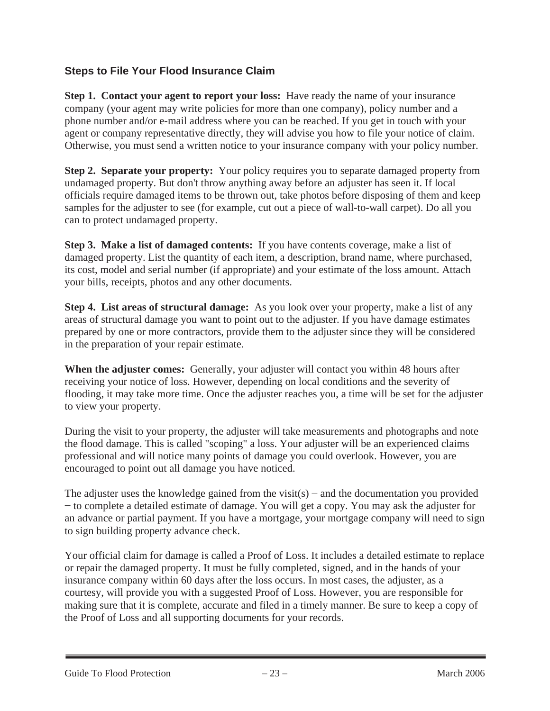## **Steps to File Your Flood Insurance Claim**

**Step 1. Contact your agent to report your loss:** Have ready the name of your insurance company (your agent may write policies for more than one company), policy number and a phone number and/or e-mail address where you can be reached. If you get in touch with your agent or company representative directly, they will advise you how to file your notice of claim. Otherwise, you must send a written notice to your insurance company with your policy number.

**Step 2. Separate your property:** Your policy requires you to separate damaged property from undamaged property. But don't throw anything away before an adjuster has seen it. If local officials require damaged items to be thrown out, take photos before disposing of them and keep samples for the adjuster to see (for example, cut out a piece of wall-to-wall carpet). Do all you can to protect undamaged property.

**Step 3. Make a list of damaged contents:** If you have contents coverage, make a list of damaged property. List the quantity of each item, a description, brand name, where purchased, its cost, model and serial number (if appropriate) and your estimate of the loss amount. Attach your bills, receipts, photos and any other documents.

**Step 4. List areas of structural damage:** As you look over your property, make a list of any areas of structural damage you want to point out to the adjuster. If you have damage estimates prepared by one or more contractors, provide them to the adjuster since they will be considered in the preparation of your repair estimate.

**When the adjuster comes:** Generally, your adjuster will contact you within 48 hours after receiving your notice of loss. However, depending on local conditions and the severity of flooding, it may take more time. Once the adjuster reaches you, a time will be set for the adjuster to view your property.

During the visit to your property, the adjuster will take measurements and photographs and note the flood damage. This is called "scoping" a loss. Your adjuster will be an experienced claims professional and will notice many points of damage you could overlook. However, you are encouraged to point out all damage you have noticed.

The adjuster uses the knowledge gained from the visit(s) – and the documentation you provided  $\sim$  to complete a detailed estimate of damage. You will get a copy. You may ask the adjuster for an advance or partial payment. If you have a mortgage, your mortgage company will need to sign to sign building property advance check.

Your official claim for damage is called a Proof of Loss. It includes a detailed estimate to replace or repair the damaged property. It must be fully completed, signed, and in the hands of your insurance company within 60 days after the loss occurs. In most cases, the adjuster, as a courtesy, will provide you with a suggested Proof of Loss. However, you are responsible for making sure that it is complete, accurate and filed in a timely manner. Be sure to keep a copy of the Proof of Loss and all supporting documents for your records.